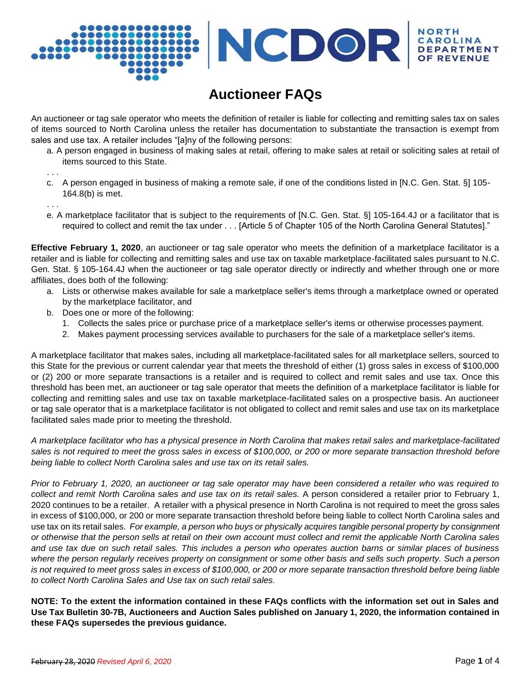# VCDOR NOR **DEP**

# **Auctioneer FAQs**

An auctioneer or tag sale operator who meets the definition of retailer is liable for collecting and remitting sales tax on sales of items sourced to North Carolina unless the retailer has documentation to substantiate the transaction is exempt from sales and use tax. A retailer includes "[a]ny of the following persons:

a. A person engaged in business of making sales at retail, offering to make sales at retail or soliciting sales at retail of items sourced to this State.

. . .

- c. A person engaged in business of making a remote sale, if one of the conditions listed in [N.C. Gen. Stat. §] 105- 164.8(b) is met.
- . . . e. A marketplace facilitator that is subject to the requirements of [N.C. Gen. Stat. §] 105-164.4J or a facilitator that is required to collect and remit the tax under . . . [Article 5 of Chapter 105 of the North Carolina General Statutes]."

**Effective February 1, 2020**, an auctioneer or tag sale operator who meets the definition of a marketplace facilitator is a retailer and is liable for collecting and remitting sales and use tax on taxable marketplace-facilitated sales pursuant to N.C. Gen. Stat. § 105-164.4J when the auctioneer or tag sale operator directly or indirectly and whether through one or more affiliates, does both of the following:

- a. Lists or otherwise makes available for sale a marketplace seller's items through a marketplace owned or operated by the marketplace facilitator, and
- b. Does one or more of the following:
	- 1. Collects the sales price or purchase price of a marketplace seller's items or otherwise processes payment.
	- 2. Makes payment processing services available to purchasers for the sale of a marketplace seller's items.

A marketplace facilitator that makes sales, including all marketplace-facilitated sales for all marketplace sellers, sourced to this State for the previous or current calendar year that meets the threshold of either (1) gross sales in excess of \$100,000 or (2) 200 or more separate transactions is a retailer and is required to collect and remit sales and use tax. Once this threshold has been met, an auctioneer or tag sale operator that meets the definition of a marketplace facilitator is liable for collecting and remitting sales and use tax on taxable marketplace-facilitated sales on a prospective basis. An auctioneer or tag sale operator that is a marketplace facilitator is not obligated to collect and remit sales and use tax on its marketplace facilitated sales made prior to meeting the threshold.

*A marketplace facilitator who has a physical presence in North Carolina that makes retail sales and marketplace-facilitated sales is not required to meet the gross sales in excess of \$100,000, or 200 or more separate transaction threshold before being liable to collect North Carolina sales and use tax on its retail sales.*

*Prior to February 1, 2020, an auctioneer or tag sale operator may have been considered a retailer who was required to collect and remit North Carolina sales and use tax on its retail sales.* A person considered a retailer prior to February 1, 2020 continues to be a retailer. A retailer with a physical presence in North Carolina is not required to meet the gross sales in excess of \$100,000, or 200 or more separate transaction threshold before being liable to collect North Carolina sales and use tax on its retail sales. *For example, a person who buys or physically acquires tangible personal property by consignment or otherwise that the person sells at retail on their own account must collect and remit the applicable North Carolina sales and use tax due on such retail sales. This includes a person who operates auction barns or similar places of business where the person regularly receives property on consignment or some other basis and sells such property. Such a person*  is not required to meet gross sales in excess of \$100,000, or 200 or more separate transaction threshold before being liable *to collect North Carolina Sales and Use tax on such retail sales.*

**NOTE: To the extent the information contained in these FAQs conflicts with the information set out in Sales and**  Use Tax Bulletin 30-7B, Auctioneers and Auction Sales published on January 1, 2020, the information contained in **these FAQs supersedes the previous guidance.**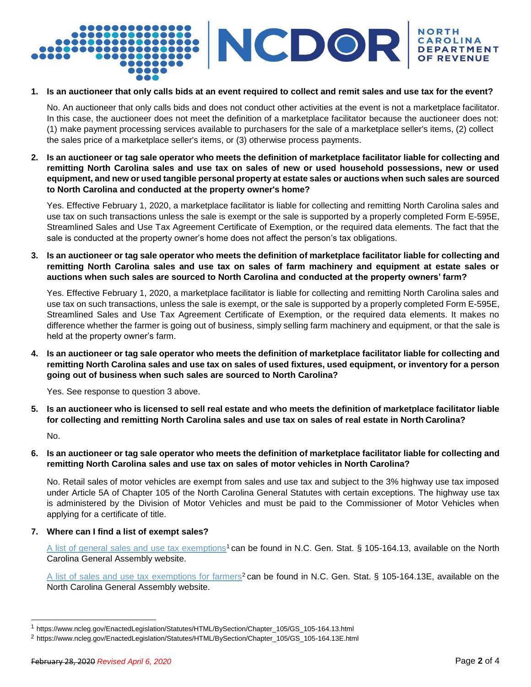

#### **1. Is an auctioneer that only calls bids at an event required to collect and remit sales and use tax for the event?**

No. An auctioneer that only calls bids and does not conduct other activities at the event is not a marketplace facilitator. In this case, the auctioneer does not meet the definition of a marketplace facilitator because the auctioneer does not: (1) make payment processing services available to purchasers for the sale of a marketplace seller's items, (2) collect the sales price of a marketplace seller's items, or (3) otherwise process payments.

### 2. Is an auctioneer or tag sale operator who meets the definition of marketplace facilitator liable for collecting and **remitting North Carolina sales and use tax on sales of new or used household possessions, new or used**  equipment, and new or used tangible personal property at estate sales or auctions when such sales are sourced **to North Carolina and conducted at the property owner's home?**

Yes. Effective February 1, 2020, a marketplace facilitator is liable for collecting and remitting North Carolina sales and use tax on such transactions unless the sale is exempt or the sale is supported by a properly completed Form E-595E, Streamlined Sales and Use Tax Agreement Certificate of Exemption, or the required data elements. The fact that the sale is conducted at the property owner's home does not affect the person's tax obligations.

3. Is an auctioneer or tag sale operator who meets the definition of marketplace facilitator liable for collecting and **remitting North Carolina sales and use tax on sales of farm machinery and equipment at estate sales or auctions when such sales are sourced to North Carolina and conducted at the property owners' farm?**

Yes. Effective February 1, 2020, a marketplace facilitator is liable for collecting and remitting North Carolina sales and use tax on such transactions, unless the sale is exempt, or the sale is supported by a properly completed Form E-595E, Streamlined Sales and Use Tax Agreement Certificate of Exemption, or the required data elements. It makes no difference whether the farmer is going out of business, simply selling farm machinery and equipment, or that the sale is held at the property owner's farm.

4. Is an auctioneer or tag sale operator who meets the definition of marketplace facilitator liable for collecting and remitting North Carolina sales and use tax on sales of used fixtures, used equipment, or inventory for a person **going out of business when such sales are sourced to North Carolina?**

Yes. See response to question 3 above.

5. Is an auctioneer who is licensed to sell real estate and who meets the definition of marketplace facilitator liable **for collecting and remitting North Carolina sales and use tax on sales of real estate in North Carolina?**

No.

6. Is an auctioneer or tag sale operator who meets the definition of marketplace facilitator liable for collecting and **remitting North Carolina sales and use tax on sales of motor vehicles in North Carolina?**

No. Retail sales of motor vehicles are exempt from sales and use tax and subject to the 3% highway use tax imposed under Article 5A of Chapter 105 of the North Carolina General Statutes with certain exceptions. The highway use tax is administered by the Division of Motor Vehicles and must be paid to the Commissioner of Motor Vehicles when applying for a certificate of title.

**7. Where can I find a list of exempt sales?**

[A list of general sales and use tax exemptions](https://www.ncleg.gov/EnactedLegislation/Statutes/HTML/BySection/Chapter_105/GS_105-164.13.html)<sup>1</sup> can be found in N.C. Gen. Stat. § 105-164.13, available on the North Carolina General Assembly website.

[A list of sales and use tax exemptions for farmers](https://www.ncleg.gov/EnactedLegislation/Statutes/HTML/BySection/Chapter_105/GS_105-164.13E.html)<sup>2</sup> can be found in N.C. Gen. Stat. § 105-164.13E, available on the North Carolina General Assembly website.

<sup>1</sup> https:[//www.ncleg.gov/EnactedLegislation/Statutes/HTML/BySection/Chapter\\_105/GS\\_105-164.13.html](http://www.ncleg.gov/EnactedLegislation/Statutes/HTML/BySection/Chapter_105/GS_105-164.13.html)

<sup>2</sup> [https://www.ncleg.gov/EnactedLegislation/Statutes/HTML/BySection/Chapter\\_105/GS\\_105-164.13E.html](https://www.ncleg.gov/EnactedLegislation/Statutes/HTML/BySection/Chapter_105/GS_105-164.13E.html)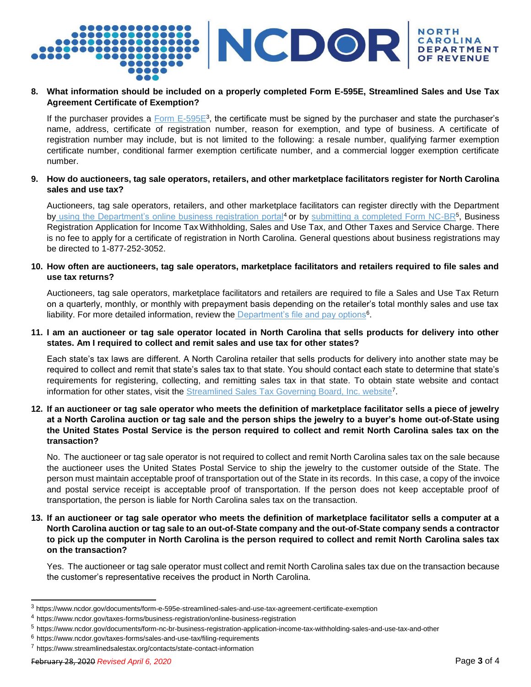

## **8. What information should be included on a properly completed Form E-595E, Streamlined Sales and Use Tax Agreement Certificate of Exemption?**

If the purchaser provides a  $\underline{\hbox{Form E-595E^3}}$ , the certificate must be signed by the purchaser and state the purchaser's name, address, certificate of registration number, reason for exemption, and type of business. A certificate of registration number may include, but is not limited to the following: a resale number, qualifying farmer exemption certificate number, conditional farmer exemption certificate number, and a commercial logger exemption certificate number.

## 9. How do auctioneers, tag sale operators, retailers, and other marketplace facilitators register for North Carolina **sales and use tax?**

Auctioneers, tag sale operators, retailers, and other marketplace facilitators can register directly with the Department by [using the Department's online business registration portal](https://www.ncdor.gov/taxes-forms/business-registration/online-business-registration)<sup>4</sup> or by [submitting a completed Form NC-BR](https://www.ncdor.gov/documents/form-nc-br-business-registration-application-income-tax-withholding-sales-and-use-tax-and-other)<sup>5</sup>, Business Registration Application for Income Tax Withholding, Sales and Use Tax, and Other Taxes and Service Charge. There is no fee to apply for a certificate of registration in North Carolina. General questions about business registrations may be directed to 1-877-252-3052.

## **10. How often are auctioneers, tag sale operators, marketplace facilitators and retailers required to file sales and use tax returns?**

Auctioneers, tag sale operators, marketplace facilitators and retailers are required to file a Sales and Use Tax Return on a quarterly, monthly, or monthly with prepayment basis depending on the retailer's total monthly sales and use tax liability. For more detailed information, review the [Department's file and pay options](https://www.ncdor.gov/taxes-forms/sales-and-use-tax/filing-requirements)<sup>6</sup>.

### **11. I am an auctioneer or tag sale operator located in North Carolina that sells products for delivery into other states. Am I required to collect and remit sales and use tax for other states?**

Each state's tax laws are different. A North Carolina retailer that sells products for delivery into another state may be required to collect and remit that state's sales tax to that state. You should contact each state to determine that state's requirements for registering, collecting, and remitting sales tax in that state. To obtain state website and contact information for other states, visit the [Streamlined Sales Tax Governing Board, Inc. website](https://www.streamlinedsalestax.org/contacts/state-contact-information)<sup>7</sup>.

## **12. If an auctioneer or tag sale operator who meets the definition of marketplace facilitator sells a piece of jewelry at a North Carolina auction or tag sale and the person ships the jewelry to a buyer's home out-of-State using the United States Postal Service is the person required to collect and remit North Carolina sales tax on the transaction?**

No. The auctioneer or tag sale operator is not required to collect and remit North Carolina sales tax on the sale because the auctioneer uses the United States Postal Service to ship the jewelry to the customer outside of the State. The person must maintain acceptable proof of transportation out of the State in its records. In this case, a copy of the invoice and postal service receipt is acceptable proof of transportation. If the person does not keep acceptable proof of transportation, the person is liable for North Carolina sales tax on the transaction.

## **13. If an auctioneer or tag sale operator who meets the definition of marketplace facilitator sells a computer at a**  North Carolina auction or tag sale to an out-of-State company and the out-of-State company sends a contractor **to pick up the computer in North Carolina is the person required to collect and remit North Carolina sales tax on the transaction?**

Yes. The auctioneer or tag sale operator must collect and remit North Carolina sales tax due on the transaction because the customer's representative receives the product in North Carolina.

<sup>3</sup> https:/[/www.ncdor.gov/documents/form-e-595e-streamlined-sales-and-use-tax-agreement-certificate-exemption](http://www.ncdor.gov/documents/form-e-595e-streamlined-sales-and-use-tax-agreement-certificate-exemption)

<sup>4</sup> https:[//www.ncdor.gov/taxes-forms/business-registration/online-business-registration](http://www.ncdor.gov/taxes-forms/business-registration/online-business-registration)

<sup>5</sup> https:[//www.ncdor.gov/documents/form-nc-br-business-registration-application-income-tax-withholding-sales-and-use-tax-and-other](http://www.ncdor.gov/documents/form-nc-br-business-registration-application-income-tax-withholding-sales-and-use-tax-and-other)

<sup>6</sup> https:[//www.ncdor.gov/taxes-forms/sales-and-use-tax/filing-requirements](http://www.ncdor.gov/taxes-forms/sales-and-use-tax/filing-requirements)

<sup>7</sup> https:[//www.streamlinedsalestax.org/contacts/state-contact-information](http://www.streamlinedsalestax.org/contacts/state-contact-information)